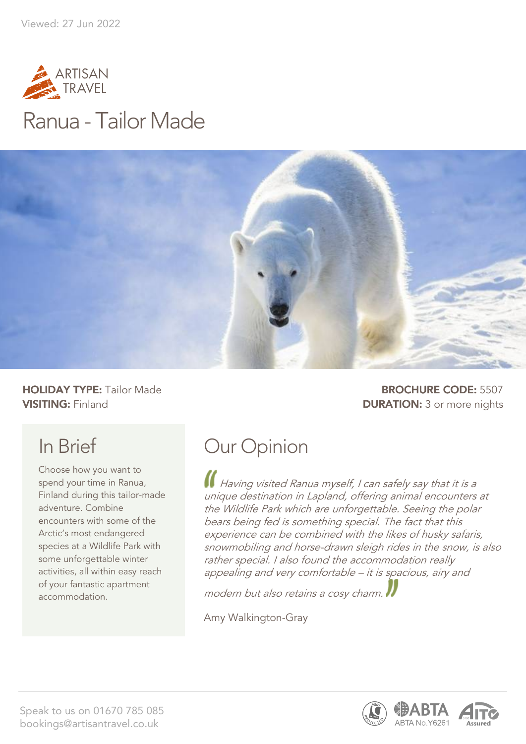

## Ranua - Tailor Made



#### **HOLIDAY TYPE:** Tailor Made **BROCHURE CODE:** 5507 **VISITING:** Finland **DURATION:** 3 or more nights

## In Brief

Choose how you want to spend your time in Ranua, Finland during this tailor-made adventure. Combine encounters with some of the Arctic's most endangered species at a Wildlife Park with some unforgettable winter activities, all within easy reach of your fantastic apartment accommodation.

## Our Opinion

Having visited Ranua myself, I can safely say that it is a unique destination in Lapland, offering animal encounters at the Wildlife Park which are unforgettable. Seeing the polar bears being fed is something special. The fact that this experience can be combined with the likes of husky safaris, snowmobiling and horse-drawn sleigh rides in the snow, is also rather special. I also found the accommodation really appealing and very comfortable – it is spacious, airy and

modern but also retains a cosy charm.

Amy Walkington-Gray

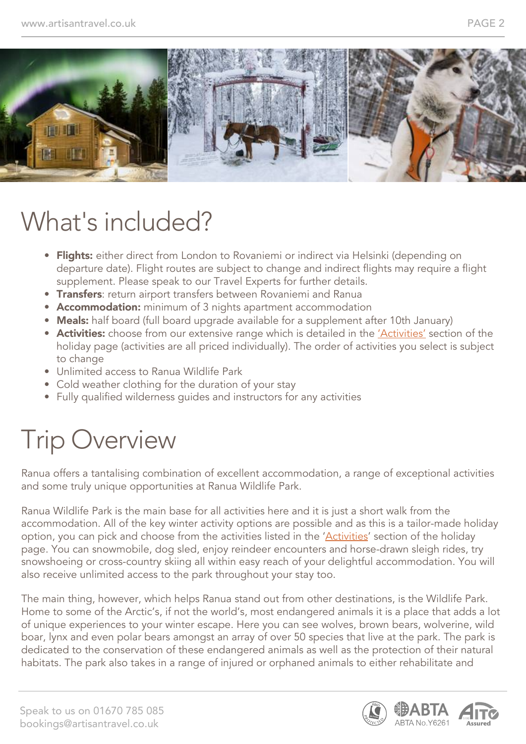

# What's included?

- Flights: either direct from London to Rovaniemi or indirect via Helsinki (depending on departure date). Flight routes are subject to change and indirect flights may require a flight supplement. Please speak to our Travel Experts for further details.
- **Transfers:** return airport transfers between Rovaniemi and Ranua
- Accommodation: minimum of 3 nights apartment accommodation
- Meals: half board (full board upgrade available for a supplement after 10th January)
- **Activities:** choose from our extensive range which is detailed in the 'Activities' section of the holiday page (activities are all priced individually). The order of activities you select is subject to change
- Unlimited access to Ranua Wildlife Park
- Cold weather clothing for the duration of your stay
- Fully qualified wilderness guides and instructors for any activities

# Trip Overview

Ranua offers a tantalising combination of excellent accommodation, a range of exceptional activities and some truly unique opportunities at Ranua Wildlife Park.

Ranua Wildlife Park is the main base for all activities here and it is just a short walk from the accommodation. All of the key winter activity options are possible and as this is a tailor-made holiday option, you can pick and choose from the activities listed in the 'Activities' section of the holiday page. You can snowmobile, dog sled, enjoy reindeer encounters and horse-drawn sleigh rides, try snowshoeing or cross-country skiing all within easy reach of your delightful accommodation. You will also receive unlimited access to the park throughout your stay too.

The main thing, however, which helps Ranua stand out from other destinations, is the Wildlife Park. Home to some of the Arctic's, if not the world's, most endangered animals it is a place that adds a lot of unique experiences to your winter escape. Here you can see wolves, brown bears, wolverine, wild boar, lynx and even polar bears amongst an array of over 50 species that live at the park. The park is dedicated to the conservation of these endangered animals as well as the protection of their natural habitats. The park also takes in a range of injured or orphaned animals to either rehabilitate and

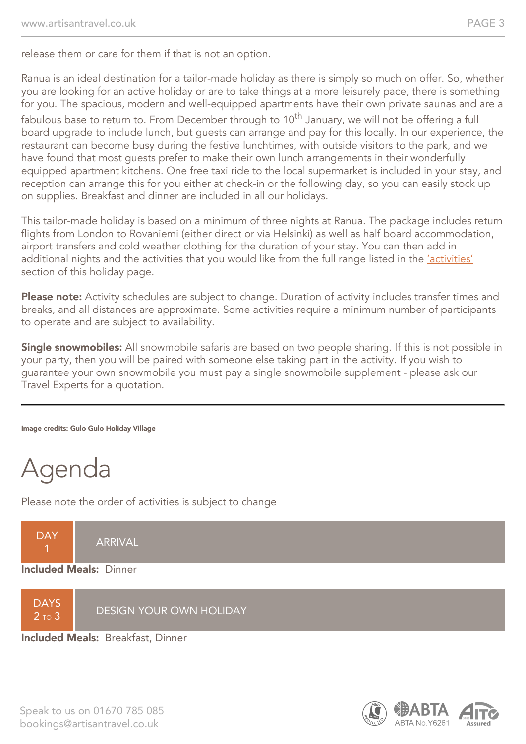release them or care for them if that is not an option.

Ranua is an ideal destination for a tailor-made holiday as there is simply so much on offer. So, whether you are looking for an active holiday or are to take things at a more leisurely pace, there is something for you. The spacious, modern and well-equipped apartments have their own private saunas and are a fabulous base to return to. From December through to 10<sup>th</sup> January, we will not be offering a full board upgrade to include lunch, but guests can arrange and pay for this locally. In our experience, the restaurant can become busy during the festive lunchtimes, with outside visitors to the park, and we have found that most guests prefer to make their own lunch arrangements in their wonderfully equipped apartment kitchens. One free taxi ride to the local supermarket is included in your stay, and reception can arrange this for you either at check-in or the following day, so you can easily stock up on supplies. Breakfast and dinner are included in all our holidays.

This tailor-made holiday is based on a minimum of three nights at Ranua. The package includes return flights from London to Rovaniemi (either direct or via Helsinki) as well as half board accommodation, airport transfers and cold weather clothing for the duration of your stay. You can then add in additional nights and the activities that you would like from the full range listed in the 'activities' section of this holiday page.

Please note: Activity schedules are subject to change. Duration of activity includes transfer times and breaks, and all distances are approximate. Some activities require a minimum number of participants to operate and are subject to availability.

Single snowmobiles: All snowmobile safaris are based on two people sharing. If this is not possible in your party, then you will be paired with someone else taking part in the activity. If you wish to guarantee your own snowmobile you must pay a single snowmobile supplement - please ask our Travel Experts for a quotation.

#### Image credits: Gulo Gulo Holiday Village

# Agenda

Please note the order of activities is subject to change



#### Included Meals: Breakfast, Dinner

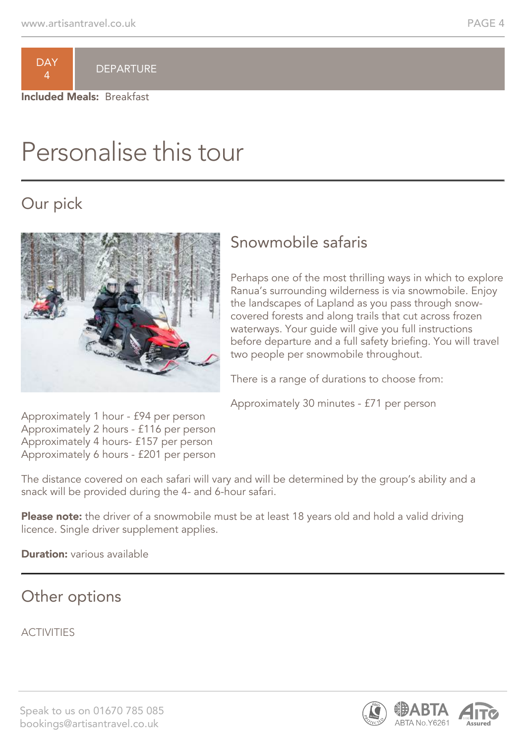

**DEPARTURE** 

Included Meals: Breakfast

## Personalise this tour

#### Our pick



#### Snowmobile safaris

Perhaps one of the most thrilling ways in which to explore Ranua's surrounding wilderness is via snowmobile. Enjoy the landscapes of Lapland as you pass through snowcovered forests and along trails that cut across frozen waterways. Your guide will give you full instructions before departure and a full safety briefing. You will travel two people per snowmobile throughout.

There is a range of durations to choose from:

Approximately 30 minutes - £71 per person

Approximately 1 hour - £94 per person Approximately 2 hours - £116 per person Approximately 4 hours- £157 per person Approximately 6 hours - £201 per person

The distance covered on each safari will vary and will be determined by the group's ability and a snack will be provided during the 4- and 6-hour safari.

Please note: the driver of a snowmobile must be at least 18 years old and hold a valid driving licence. Single driver supplement applies.

**Duration:** various available

#### Other options

ACTIVITIES



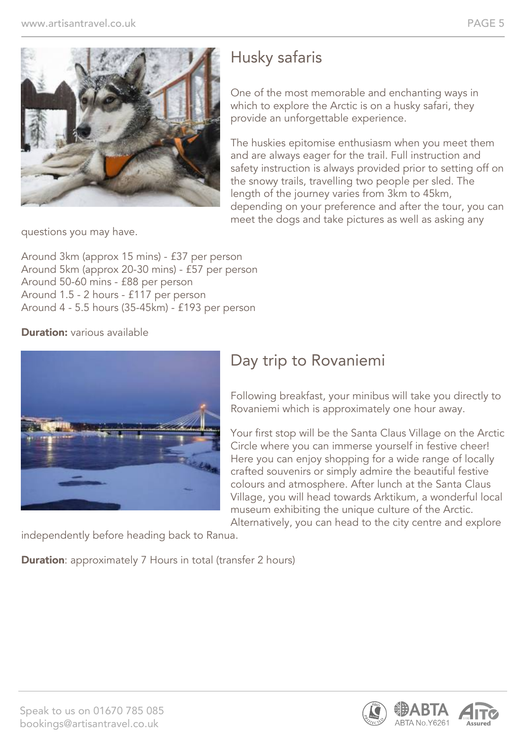

## Husky safaris

One of the most memorable and enchanting ways in which to explore the Arctic is on a husky safari, they provide an unforgettable experience.

The huskies epitomise enthusiasm when you meet them and are always eager for the trail. Full instruction and safety instruction is always provided prior to setting off on the snowy trails, travelling two people per sled. The length of the journey varies from 3km to 45km, depending on your preference and after the tour, you can meet the dogs and take pictures as well as asking any

questions you may have.

Around 3km (approx 15 mins) - £37 per person Around 5km (approx 20-30 mins) - £57 per person Around 50-60 mins - £88 per person Around 1.5 - 2 hours - £117 per person Around 4 - 5.5 hours (35-45km) - £193 per person

#### **Duration:** various available



## Day trip to Rovaniemi

Following breakfast, your minibus will take you directly to Rovaniemi which is approximately one hour away.

Your first stop will be the Santa Claus Village on the Arctic Circle where you can immerse yourself in festive cheer! Here you can enjoy shopping for a wide range of locally crafted souvenirs or simply admire the beautiful festive colours and atmosphere. After lunch at the Santa Claus Village, you will head towards Arktikum, a wonderful local museum exhibiting the unique culture of the Arctic. Alternatively, you can head to the city centre and explore

independently before heading back to Ranua.

**Duration**: approximately 7 Hours in total (transfer 2 hours)

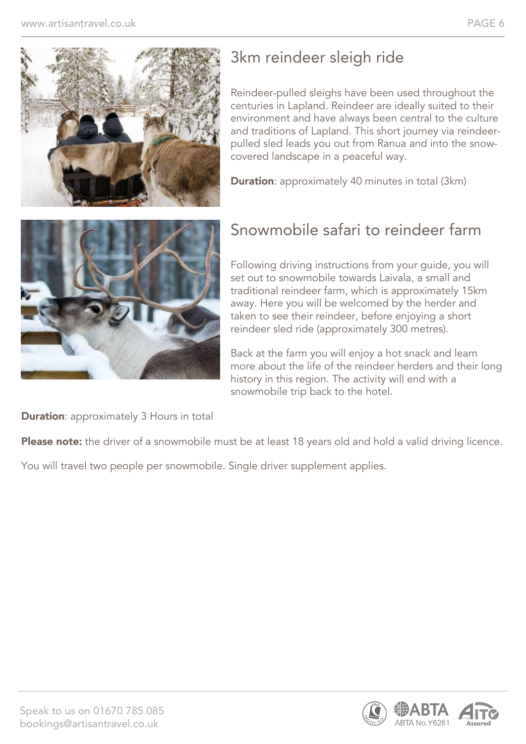

## 3km reindeer sleigh ride

Reindeer-pulled sleighs have been used throughout the centuries in Lapland. Reindeer are ideally suited to their environment and have always been central to the culture and traditions of Lapland. This short journey via reindeerpulled sled leads you out from Ranua and into the snowcovered landscape in a peaceful way.

**Duration:** approximately 40 minutes in total (3km)



## Snowmobile safari to reindeer farm

Following driving instructions from your guide, you will set out to snowmobile towards Laivala, a small and traditional reindeer farm, which is approximately 15km away. Here you will be welcomed by the herder and taken to see their reindeer, before enjoying a short reindeer sled ride (approximately 300 metres).

Back at the farm you will enjoy a hot snack and learn more about the life of the reindeer herders and their long history in this region. The activity will end with a snowmobile trip back to the hotel.

**Duration:** approximately 3 Hours in total

Please note: the driver of a snowmobile must be at least 18 years old and hold a valid driving licence.

You will travel two people per snowmobile. Single driver supplement applies.

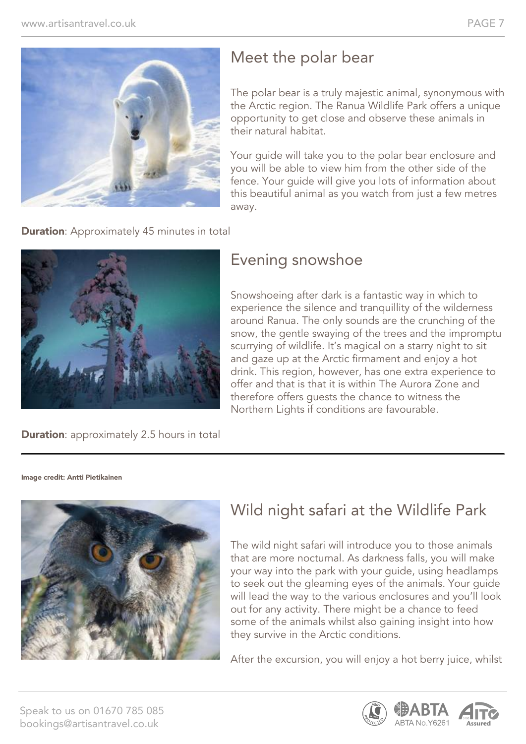

#### Meet the polar bear

The polar bear is a truly majestic animal, synonymous with the Arctic region. The Ranua Wildlife Park offers a unique opportunity to get close and observe these animals in their natural habitat.

Your guide will take you to the polar bear enclosure and you will be able to view him from the other side of the fence. Your guide will give you lots of information about this beautiful animal as you watch from just a few metres away.

**Duration**: Approximately 45 minutes in total



#### Evening snowshoe

Snowshoeing after dark is a fantastic way in which to experience the silence and tranquillity of the wilderness around Ranua. The only sounds are the crunching of the snow, the gentle swaying of the trees and the impromptu scurrying of wildlife. It's magical on a starry night to sit and gaze up at the Arctic firmament and enjoy a hot drink. This region, however, has one extra experience to offer and that is that it is within The Aurora Zone and therefore offers guests the chance to witness the Northern Lights if conditions are favourable.

**Duration**: approximately 2.5 hours in total

Image credit: Antti Pietikainen



#### Wild night safari at the Wildlife Park

The wild night safari will introduce you to those animals that are more nocturnal. As darkness falls, you will make your way into the park with your guide, using headlamps to seek out the gleaming eyes of the animals. Your guide will lead the way to the various enclosures and you'll look out for any activity. There might be a chance to feed some of the animals whilst also gaining insight into how they survive in the Arctic conditions.

After the excursion, you will enjoy a hot berry juice, whilst

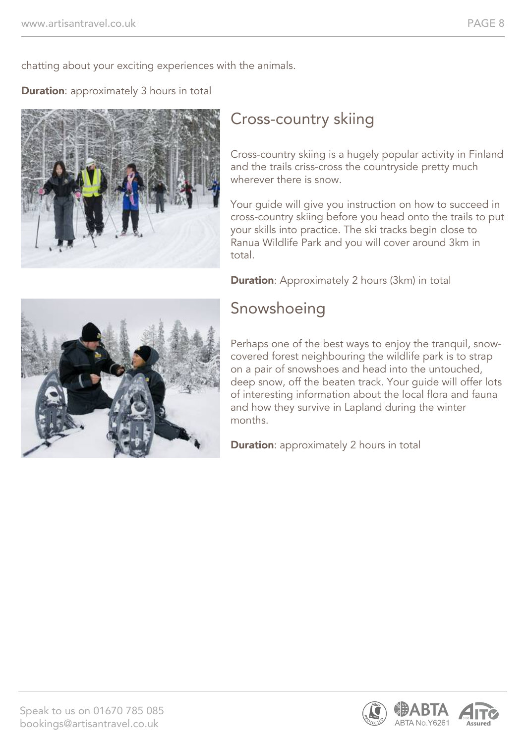chatting about your exciting experiences with the animals.

**Duration**: approximately 3 hours in total



## Cross-country skiing

Cross-country skiing is a hugely popular activity in Finland and the trails criss-cross the countryside pretty much wherever there is snow.

Your guide will give you instruction on how to succeed in cross-country skiing before you head onto the trails to put your skills into practice. The ski tracks begin close to Ranua Wildlife Park and you will cover around 3km in total.

**Duration:** Approximately 2 hours (3km) in total



#### Snowshoeing

Perhaps one of the best ways to enjoy the tranquil, snowcovered forest neighbouring the wildlife park is to strap on a pair of snowshoes and head into the untouched, deep snow, off the beaten track. Your guide will offer lots of interesting information about the local flora and fauna and how they survive in Lapland during the winter months.

**Duration:** approximately 2 hours in total

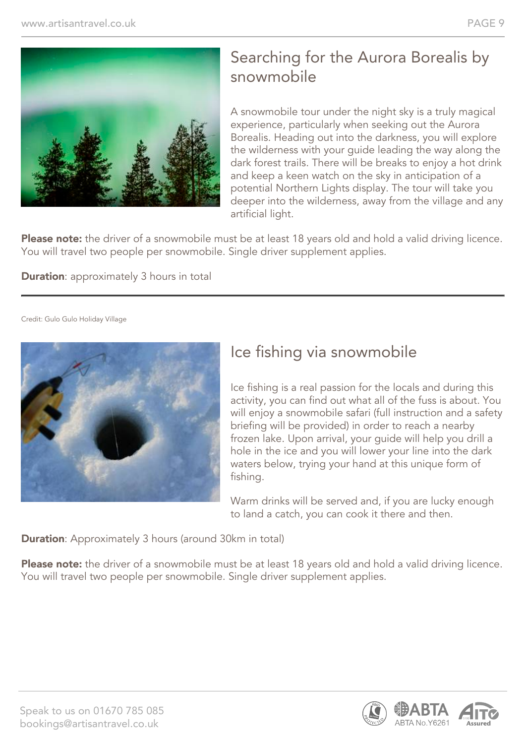

#### Searching for the Aurora Borealis by snowmobile

A snowmobile tour under the night sky is a truly magical experience, particularly when seeking out the Aurora Borealis. Heading out into the darkness, you will explore the wilderness with your guide leading the way along the dark forest trails. There will be breaks to enjoy a hot drink and keep a keen watch on the sky in anticipation of a potential Northern Lights display. The tour will take you deeper into the wilderness, away from the village and any artificial light.

Please note: the driver of a snowmobile must be at least 18 years old and hold a valid driving licence. You will travel two people per snowmobile. Single driver supplement applies.

**Duration:** approximately 3 hours in total

Credit: Gulo Gulo Holiday Village



#### Ice fishing via snowmobile

Ice fishing is a real passion for the locals and during this activity, you can find out what all of the fuss is about. You will enjoy a snowmobile safari (full instruction and a safety briefing will be provided) in order to reach a nearby frozen lake. Upon arrival, your guide will help you drill a hole in the ice and you will lower your line into the dark waters below, trying your hand at this unique form of fishing.

Warm drinks will be served and, if you are lucky enough to land a catch, you can cook it there and then.

**Duration:** Approximately 3 hours (around 30km in total)

**Please note:** the driver of a snowmobile must be at least 18 years old and hold a valid driving licence. You will travel two people per snowmobile. Single driver supplement applies.



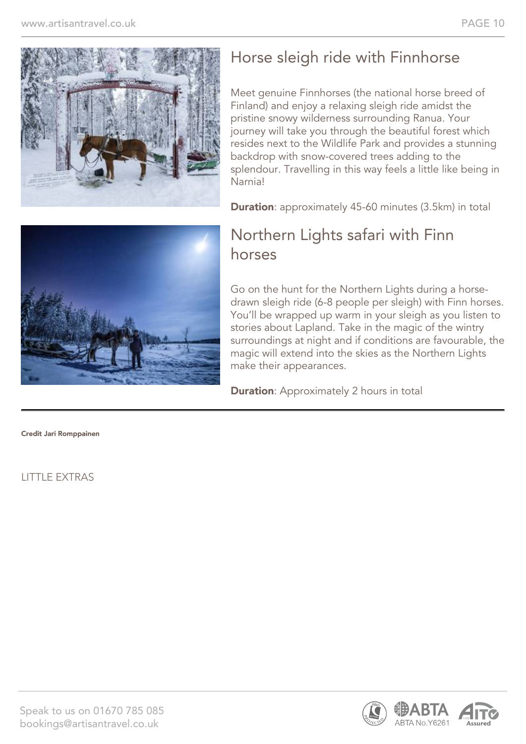

#### Horse sleigh ride with Finnhorse

Meet genuine Finnhorses (the national horse breed of Finland) and enjoy a relaxing sleigh ride amidst the pristine snowy wilderness surrounding Ranua. Your journey will take you through the beautiful forest which resides next to the Wildlife Park and provides a stunning backdrop with snow-covered trees adding to the splendour. Travelling in this way feels a little like being in Narnia!

**Duration**: approximately 45-60 minutes (3.5km) in total



#### Northern Lights safari with Finn horses

Go on the hunt for the Northern Lights during a horsedrawn sleigh ride (6-8 people per sleigh) with Finn horses. You'll be wrapped up warm in your sleigh as you listen to stories about Lapland. Take in the magic of the wintry surroundings at night and if conditions are favourable, the magic will extend into the skies as the Northern Lights make their appearances.

**Duration:** Approximately 2 hours in total

Credit Jari Romppainen

LITTLE EXTRAS

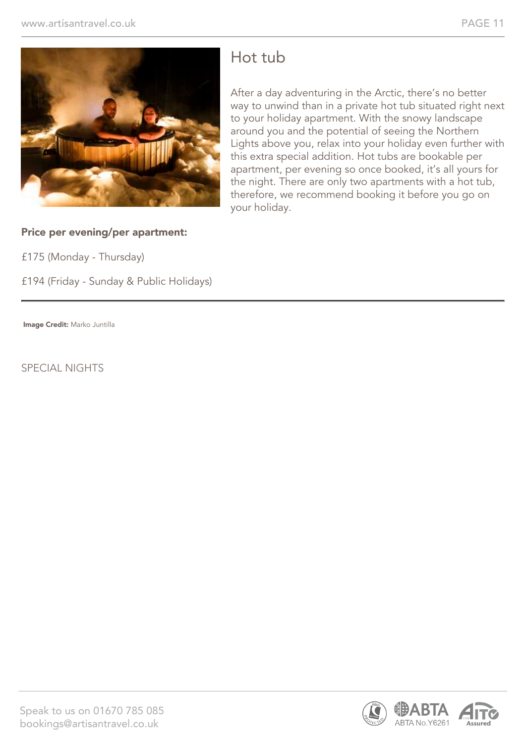

#### Hot tub

After a day adventuring in the Arctic, there's no better way to unwind than in a private hot tub situated right next to your holiday apartment. With the snowy landscape around you and the potential of seeing the Northern Lights above you, relax into your holiday even further with this extra special addition. Hot tubs are bookable per apartment, per evening so once booked, it's all yours for the night. There are only two apartments with a hot tub, therefore, we recommend booking it before you go on your holiday.

#### Price per evening/per apartment:

£175 (Monday - Thursday)

£194 (Friday - Sunday & Public Holidays)

Image Credit: Marko Juntilla

SPECIAL NIGHTS

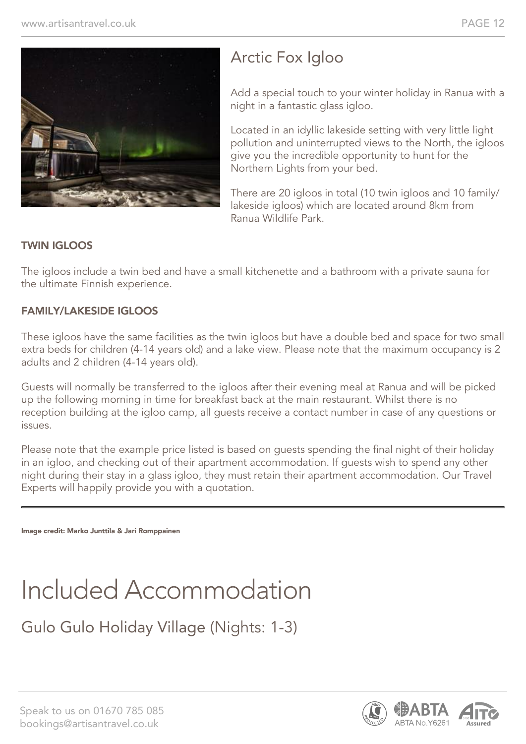

## Arctic Fox Igloo

Add a special touch to your winter holiday in Ranua with a night in a fantastic glass igloo.

Located in an idyllic lakeside setting with very little light pollution and uninterrupted views to the North, the igloos give you the incredible opportunity to hunt for the Northern Lights from your bed.

There are 20 igloos in total (10 twin igloos and 10 family/ lakeside igloos) which are located around 8km from Ranua Wildlife Park.

#### TWIN IGLOOS

The igloos include a twin bed and have a small kitchenette and a bathroom with a private sauna for the ultimate Finnish experience.

#### FAMILY/LAKESIDE IGLOOS

These igloos have the same facilities as the twin igloos but have a double bed and space for two small extra beds for children (4-14 years old) and a lake view. Please note that the maximum occupancy is 2 adults and 2 children (4-14 years old).

Guests will normally be transferred to the igloos after their evening meal at Ranua and will be picked up the following morning in time for breakfast back at the main restaurant. Whilst there is no reception building at the igloo camp, all guests receive a contact number in case of any questions or issues.

Please note that the example price listed is based on guests spending the final night of their holiday in an igloo, and checking out of their apartment accommodation. If guests wish to spend any other night during their stay in a glass igloo, they must retain their apartment accommodation. Our Travel Experts will happily provide you with a quotation.

Image credit: Marko Junttila & Jari Romppainen

# Included Accommodation

Gulo Gulo Holiday Village (Nights: 1-3)



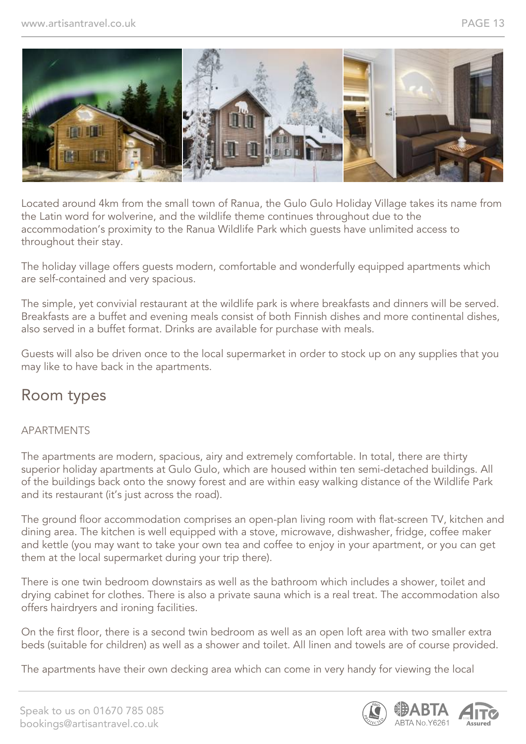

Located around 4km from the small town of Ranua, the Gulo Gulo Holiday Village takes its name from the Latin word for wolverine, and the wildlife theme continues throughout due to the accommodation's proximity to the Ranua Wildlife Park which guests have unlimited access to throughout their stay.

The holiday village offers guests modern, comfortable and wonderfully equipped apartments which are self-contained and very spacious.

The simple, yet convivial restaurant at the wildlife park is where breakfasts and dinners will be served. Breakfasts are a buffet and evening meals consist of both Finnish dishes and more continental dishes, also served in a buffet format. Drinks are available for purchase with meals.

Guests will also be driven once to the local supermarket in order to stock up on any supplies that you may like to have back in the apartments.

#### Room types

#### APARTMENTS

The apartments are modern, spacious, airy and extremely comfortable. In total, there are thirty superior holiday apartments at Gulo Gulo, which are housed within ten semi-detached buildings. All of the buildings back onto the snowy forest and are within easy walking distance of the Wildlife Park and its restaurant (it's just across the road).

The ground floor accommodation comprises an open-plan living room with flat-screen TV, kitchen and dining area. The kitchen is well equipped with a stove, microwave, dishwasher, fridge, coffee maker and kettle (you may want to take your own tea and coffee to enjoy in your apartment, or you can get them at the local supermarket during your trip there).

There is one twin bedroom downstairs as well as the bathroom which includes a shower, toilet and drying cabinet for clothes. There is also a private sauna which is a real treat. The accommodation also offers hairdryers and ironing facilities.

On the first floor, there is a second twin bedroom as well as an open loft area with two smaller extra beds (suitable for children) as well as a shower and toilet. All linen and towels are of course provided.

The apartments have their own decking area which can come in very handy for viewing the local